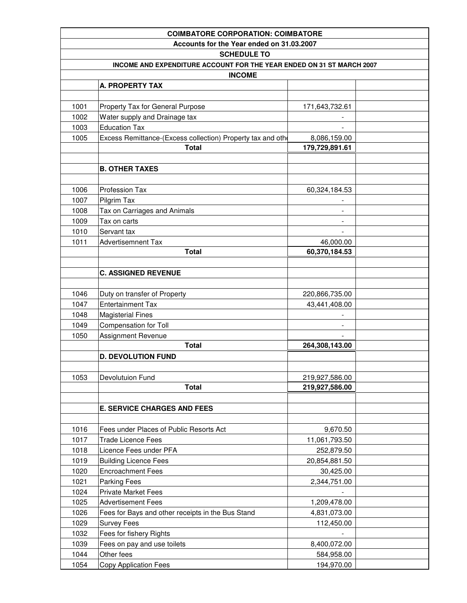|                                           | <b>COIMBATORE CORPORATION: COIMBATORE</b>                             |                          |  |  |  |
|-------------------------------------------|-----------------------------------------------------------------------|--------------------------|--|--|--|
| Accounts for the Year ended on 31.03.2007 |                                                                       |                          |  |  |  |
| <b>SCHEDULE TO</b>                        |                                                                       |                          |  |  |  |
|                                           | INCOME AND EXPENDITURE ACCOUNT FOR THE YEAR ENDED ON 31 ST MARCH 2007 |                          |  |  |  |
|                                           | <b>INCOME</b>                                                         |                          |  |  |  |
|                                           | A. PROPERTY TAX                                                       |                          |  |  |  |
|                                           |                                                                       |                          |  |  |  |
| 1001                                      | Property Tax for General Purpose                                      | 171,643,732.61           |  |  |  |
| 1002                                      | Water supply and Drainage tax                                         |                          |  |  |  |
| 1003                                      | <b>Education Tax</b>                                                  |                          |  |  |  |
| 1005                                      | Excess Remittance-(Excess collection) Property tax and othe           | 8,086,159.00             |  |  |  |
|                                           | <b>Total</b>                                                          | 179,729,891.61           |  |  |  |
|                                           |                                                                       |                          |  |  |  |
|                                           | <b>B. OTHER TAXES</b>                                                 |                          |  |  |  |
|                                           |                                                                       |                          |  |  |  |
| 1006                                      | Profession Tax                                                        | 60,324,184.53            |  |  |  |
| 1007                                      | Pilgrim Tax                                                           |                          |  |  |  |
| 1008                                      | Tax on Carriages and Animals                                          |                          |  |  |  |
| 1009                                      | Tax on carts                                                          |                          |  |  |  |
| 1010                                      | Servant tax                                                           | $\overline{\phantom{a}}$ |  |  |  |
| 1011                                      | <b>Advertisemnent Tax</b>                                             | 46,000.00                |  |  |  |
|                                           | <b>Total</b>                                                          | 60,370,184.53            |  |  |  |
|                                           |                                                                       |                          |  |  |  |
|                                           | <b>C. ASSIGNED REVENUE</b>                                            |                          |  |  |  |
|                                           |                                                                       |                          |  |  |  |
| 1046                                      | Duty on transfer of Property                                          | 220,866,735.00           |  |  |  |
| 1047                                      | <b>Entertainment Tax</b>                                              | 43,441,408.00            |  |  |  |
| 1048                                      | <b>Magisterial Fines</b>                                              |                          |  |  |  |
| 1049                                      | Compensation for Toll                                                 |                          |  |  |  |
| 1050                                      | <b>Assignment Revenue</b>                                             |                          |  |  |  |
|                                           | <b>Total</b>                                                          | 264,308,143.00           |  |  |  |
|                                           | <b>D. DEVOLUTION FUND</b>                                             |                          |  |  |  |
|                                           |                                                                       |                          |  |  |  |
| 1053                                      | <b>Devolutuion Fund</b>                                               | 219,927,586.00           |  |  |  |
|                                           | <b>Total</b>                                                          | 219,927,586.00           |  |  |  |
|                                           |                                                                       |                          |  |  |  |
|                                           | <b>E. SERVICE CHARGES AND FEES</b>                                    |                          |  |  |  |
|                                           |                                                                       |                          |  |  |  |
| 1016                                      | Fees under Places of Public Resorts Act                               | 9,670.50                 |  |  |  |
| 1017                                      | <b>Trade Licence Fees</b>                                             | 11,061,793.50            |  |  |  |
| 1018                                      | Licence Fees under PFA                                                | 252,879.50               |  |  |  |
| 1019                                      | <b>Building Licence Fees</b>                                          | 20,854,881.50            |  |  |  |
| 1020                                      | <b>Encroachment Fees</b>                                              | 30,425.00                |  |  |  |
| 1021                                      | <b>Parking Fees</b>                                                   | 2,344,751.00             |  |  |  |
| 1024                                      | <b>Private Market Fees</b>                                            |                          |  |  |  |
| 1025                                      | <b>Advertisement Fees</b>                                             | 1,209,478.00             |  |  |  |
| 1026                                      | Fees for Bays and other receipts in the Bus Stand                     | 4,831,073.00             |  |  |  |
| 1029                                      | <b>Survey Fees</b>                                                    | 112,450.00               |  |  |  |
| 1032                                      | Fees for fishery Rights                                               |                          |  |  |  |
| 1039                                      | Fees on pay and use toilets                                           | 8,400,072.00             |  |  |  |
| 1044                                      | Other fees                                                            | 584,958.00               |  |  |  |
| 1054                                      | <b>Copy Application Fees</b>                                          | 194,970.00               |  |  |  |
|                                           |                                                                       |                          |  |  |  |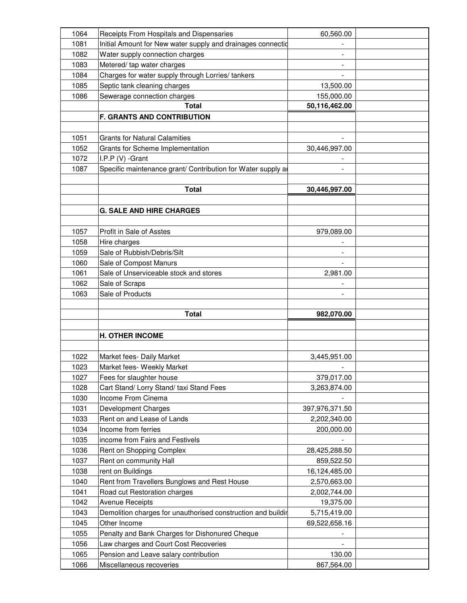|              | Receipts From Hospitals and Dispensaries                          | 60,560.00                |  |
|--------------|-------------------------------------------------------------------|--------------------------|--|
| 1081         | Initial Amount for New water supply and drainages connectio       |                          |  |
| 1082         | Water supply connection charges                                   |                          |  |
| 1083         | Metered/tap water charges                                         |                          |  |
| 1084         | Charges for water supply through Lorries/ tankers                 |                          |  |
| 1085         | Septic tank cleaning charges                                      | 13,500.00                |  |
| 1086         | Sewerage connection charges                                       | 155,000.00               |  |
|              | <b>Total</b>                                                      | 50,116,462.00            |  |
|              | <b>F. GRANTS AND CONTRIBUTION</b>                                 |                          |  |
|              |                                                                   |                          |  |
| 1051         | <b>Grants for Natural Calamities</b>                              |                          |  |
| 1052         | Grants for Scheme Implementation                                  | 30,446,997.00            |  |
| 1072         | I.P.P (V) -Grant                                                  |                          |  |
| 1087         | Specific maintenance grant/ Contribution for Water supply a       |                          |  |
|              |                                                                   |                          |  |
|              | <b>Total</b>                                                      | 30,446,997.00            |  |
|              |                                                                   |                          |  |
|              | <b>G. SALE AND HIRE CHARGES</b>                                   |                          |  |
|              |                                                                   |                          |  |
| 1057         | Profit in Sale of Asstes                                          |                          |  |
| 1058         |                                                                   | 979,089.00               |  |
|              | Hire charges<br>Sale of Rubbish/Debris/Silt                       |                          |  |
| 1059         |                                                                   |                          |  |
| 1060         | Sale of Compost Manurs                                            |                          |  |
| 1061         | Sale of Unserviceable stock and stores                            | 2,981.00                 |  |
| 1062         | Sale of Scraps                                                    |                          |  |
| 1063         | Sale of Products                                                  |                          |  |
|              |                                                                   |                          |  |
|              | <b>Total</b>                                                      |                          |  |
|              |                                                                   | 982,070.00               |  |
|              |                                                                   |                          |  |
|              | <b>H. OTHER INCOME</b>                                            |                          |  |
|              |                                                                   |                          |  |
| 1022         | Market fees- Daily Market                                         | 3,445,951.00             |  |
| 1023         | Market fees- Weekly Market                                        | $\overline{\phantom{a}}$ |  |
| 1027         | Fees for slaughter house                                          | 379,017.00               |  |
| 1028         | Cart Stand/ Lorry Stand/ taxi Stand Fees                          | 3,263,874.00             |  |
| 1030         | Income From Cinema                                                |                          |  |
| 1031         | <b>Development Charges</b>                                        | 397,976,371.50           |  |
| 1033         | Rent on and Lease of Lands                                        | 2,202,340.00             |  |
| 1034         | Income from ferries                                               | 200,000.00               |  |
| 1035         | income from Fairs and Festivels                                   |                          |  |
| 1036         | Rent on Shopping Complex                                          | 28,425,288.50            |  |
| 1037         | Rent on community Hall                                            | 859,522.50               |  |
| 1038         | rent on Buildings                                                 | 16,124,485.00            |  |
| 1040         | Rent from Travellers Bunglows and Rest House                      | 2,570,663.00             |  |
| 1041         | Road cut Restoration charges                                      | 2,002,744.00             |  |
| 1042         | <b>Avenue Receipts</b>                                            | 19,375.00                |  |
| 1043         | Demolition charges for unauthorised construction and buildir      | 5,715,419.00             |  |
| 1045         | Other Income                                                      | 69,522,658.16            |  |
| 1055         | Penalty and Bank Charges for Dishonured Cheque                    |                          |  |
| 1056         |                                                                   |                          |  |
|              | Law charges and Court Cost Recoveries                             | 130.00                   |  |
| 1065<br>1066 | Pension and Leave salary contribution<br>Miscellaneous recoveries | 867,564.00               |  |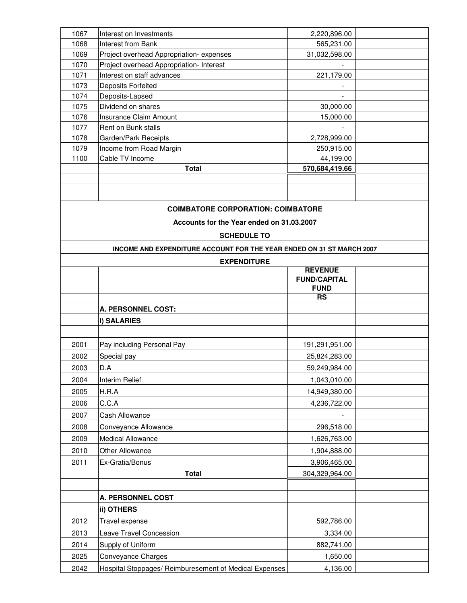| 1067 | Interest on Investments                                               | 2,220,896.00                       |  |
|------|-----------------------------------------------------------------------|------------------------------------|--|
| 1068 | Interest from Bank                                                    | 565,231.00                         |  |
| 1069 | Project overhead Appropriation-expenses                               | 31,032,598.00                      |  |
| 1070 | Project overhead Appropriation- Interest                              |                                    |  |
| 1071 | Interest on staff advances                                            | 221,179.00                         |  |
| 1073 | Deposits Forfeited                                                    |                                    |  |
| 1074 | Deposits-Lapsed                                                       |                                    |  |
| 1075 | Dividend on shares                                                    | 30,000.00                          |  |
| 1076 | <b>Insurance Claim Amount</b>                                         | 15,000.00                          |  |
| 1077 | Rent on Bunk stalls                                                   |                                    |  |
| 1078 | Garden/Park Receipts                                                  | 2,728,999.00                       |  |
| 1079 | Income from Road Margin                                               | 250,915.00                         |  |
| 1100 | Cable TV Income                                                       | 44,199.00                          |  |
|      | <b>Total</b>                                                          | 570,684,419.66                     |  |
|      |                                                                       |                                    |  |
|      |                                                                       |                                    |  |
|      |                                                                       |                                    |  |
|      | <b>COIMBATORE CORPORATION: COIMBATORE</b>                             |                                    |  |
|      | Accounts for the Year ended on 31.03.2007                             |                                    |  |
|      | <b>SCHEDULE TO</b>                                                    |                                    |  |
|      |                                                                       |                                    |  |
|      | INCOME AND EXPENDITURE ACCOUNT FOR THE YEAR ENDED ON 31 ST MARCH 2007 |                                    |  |
|      | <b>EXPENDITURE</b>                                                    |                                    |  |
|      |                                                                       | <b>REVENUE</b>                     |  |
|      |                                                                       | <b>FUND/CAPITAL</b><br><b>FUND</b> |  |
|      |                                                                       | <b>RS</b>                          |  |
|      | A. PERSONNEL COST:                                                    |                                    |  |
|      |                                                                       |                                    |  |
|      | I) SALARIES                                                           |                                    |  |
|      |                                                                       |                                    |  |
| 2001 | Pay including Personal Pay                                            | 191,291,951.00                     |  |
| 2002 | Special pay                                                           | 25,824,283.00                      |  |
| 2003 | D.A                                                                   | 59,249,984.00                      |  |
| 2004 | Interim Relief                                                        | 1,043,010.00                       |  |
| 2005 | H.R.A                                                                 | 14,949,380.00                      |  |
| 2006 | C.C.A                                                                 | 4,236,722.00                       |  |
| 2007 | Cash Allowance                                                        |                                    |  |
|      |                                                                       |                                    |  |
| 2008 | Conveyance Allowance                                                  | 296,518.00                         |  |
| 2009 | Medical Allowance                                                     | 1,626,763.00                       |  |
| 2010 | Other Allowance                                                       | 1,904,888.00                       |  |
| 2011 | Ex-Gratia/Bonus                                                       | 3,906,465.00                       |  |
|      | <b>Total</b>                                                          | 304,329,964.00                     |  |
|      |                                                                       |                                    |  |
|      | <b>A. PERSONNEL COST</b>                                              |                                    |  |
|      | ii) OTHERS                                                            |                                    |  |
|      |                                                                       |                                    |  |
| 2012 | Travel expense                                                        | 592,786.00                         |  |
| 2013 | Leave Travel Concession                                               | 3,334.00                           |  |
| 2014 | Supply of Uniform                                                     | 882,741.00                         |  |
| 2025 | <b>Conveyance Charges</b>                                             | 1,650.00                           |  |
|      |                                                                       |                                    |  |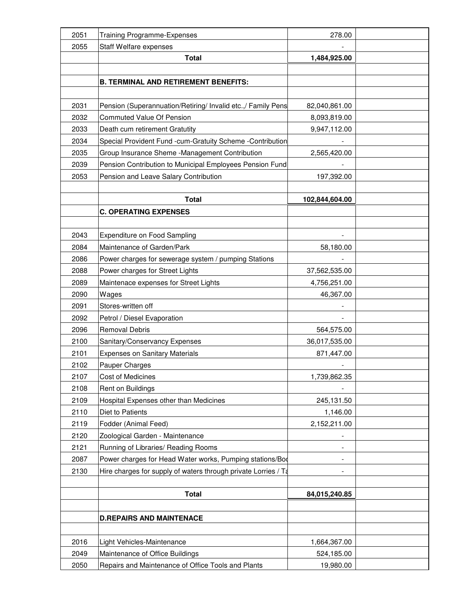| 2051 | <b>Training Programme-Expenses</b>                             | 278.00         |  |
|------|----------------------------------------------------------------|----------------|--|
| 2055 | Staff Welfare expenses                                         |                |  |
|      | <b>Total</b>                                                   | 1,484,925.00   |  |
|      |                                                                |                |  |
|      | <b>B. TERMINAL AND RETIREMENT BENEFITS:</b>                    |                |  |
|      |                                                                |                |  |
| 2031 | Pension (Superannuation/Retiring/ Invalid etc.,/ Family Pens   | 82,040,861.00  |  |
| 2032 | <b>Commuted Value Of Pension</b>                               | 8,093,819.00   |  |
| 2033 | Death cum retirement Gratutity                                 | 9,947,112.00   |  |
| 2034 | Special Provident Fund -cum-Gratuity Scheme -Contribution      |                |  |
| 2035 | Group Insurance Sheme -Management Contribution                 | 2,565,420.00   |  |
| 2039 | Pension Contribution to Municipal Employees Pension Fund       |                |  |
| 2053 | Pension and Leave Salary Contribution                          | 197,392.00     |  |
|      |                                                                |                |  |
|      | <b>Total</b>                                                   | 102,844,604.00 |  |
|      | <b>C. OPERATING EXPENSES</b>                                   |                |  |
|      |                                                                |                |  |
| 2043 | <b>Expenditure on Food Sampling</b>                            |                |  |
| 2084 | Maintenance of Garden/Park                                     | 58,180.00      |  |
| 2086 | Power charges for sewerage system / pumping Stations           |                |  |
| 2088 | Power charges for Street Lights                                | 37,562,535.00  |  |
| 2089 | Maintenace expenses for Street Lights                          | 4,756,251.00   |  |
| 2090 | Wages                                                          | 46,367.00      |  |
| 2091 | Stores-written off                                             |                |  |
| 2092 | Petrol / Diesel Evaporation                                    |                |  |
| 2096 | <b>Removal Debris</b>                                          | 564,575.00     |  |
| 2100 | Sanitary/Conservancy Expenses                                  | 36,017,535.00  |  |
| 2101 | <b>Expenses on Sanitary Materials</b>                          | 871,447.00     |  |
| 2102 | Pauper Charges                                                 |                |  |
| 2107 | Cost of Medicines                                              | 1,739,862.35   |  |
| 2108 | Rent on Buildings                                              |                |  |
| 2109 | Hospital Expenses other than Medicines                         | 245,131.50     |  |
| 2110 | Diet to Patients                                               | 1,146.00       |  |
| 2119 | Fodder (Animal Feed)                                           | 2,152,211.00   |  |
| 2120 | Zoological Garden - Maintenance                                |                |  |
| 2121 | Running of Libraries/ Reading Rooms                            |                |  |
| 2087 | Power charges for Head Water works, Pumping stations/Bod       |                |  |
| 2130 | Hire charges for supply of waters through private Lorries / Ta |                |  |
|      |                                                                |                |  |
|      | <b>Total</b>                                                   | 84,015,240.85  |  |
|      |                                                                |                |  |
|      | <b>D.REPAIRS AND MAINTENACE</b>                                |                |  |
|      |                                                                |                |  |
| 2016 | Light Vehicles-Maintenance                                     | 1,664,367.00   |  |
| 2049 | Maintenance of Office Buildings                                | 524,185.00     |  |
| 2050 | Repairs and Maintenance of Office Tools and Plants             | 19,980.00      |  |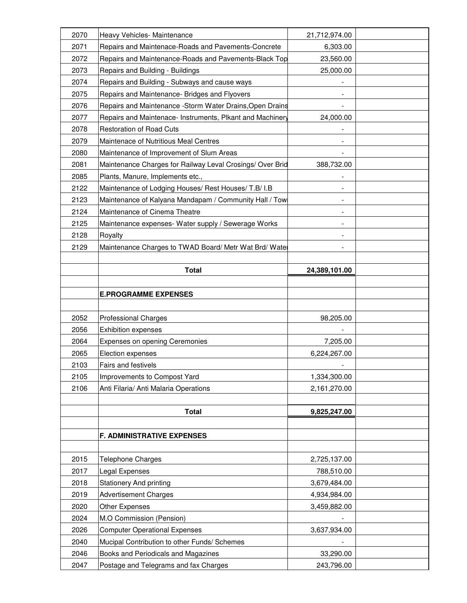| 2070 | Heavy Vehicles- Maintenance                               | 21,712,974.00            |  |
|------|-----------------------------------------------------------|--------------------------|--|
| 2071 | Repairs and Maintenace-Roads and Pavements-Concrete       | 6,303.00                 |  |
| 2072 | Repairs and Maintenance-Roads and Pavements-Black Top     | 23,560.00                |  |
| 2073 | Repairs and Building - Buildings                          | 25,000.00                |  |
| 2074 | Repairs and Building - Subways and cause ways             |                          |  |
| 2075 | Repairs and Maintenance- Bridges and Flyovers             |                          |  |
| 2076 | Repairs and Maintenance -Storm Water Drains, Open Drains  |                          |  |
| 2077 | Repairs and Maintenace- Instruments, Plkant and Machinery | 24,000.00                |  |
| 2078 | <b>Restoration of Road Cuts</b>                           |                          |  |
| 2079 | Maintenace of Nutritious Meal Centres                     |                          |  |
| 2080 | Maintenance of Improvement of Slum Areas                  |                          |  |
| 2081 | Maintenance Charges for Railway Leval Crosings/ Over Brid | 388,732.00               |  |
| 2085 | Plants, Manure, Implements etc.,                          |                          |  |
| 2122 | Maintenance of Lodging Houses/ Rest Houses/ T.B/ I.B      |                          |  |
| 2123 | Maintenance of Kalyana Mandapam / Community Hall / Tow    |                          |  |
| 2124 | Maintenance of Cinema Theatre                             |                          |  |
| 2125 | Maintenance expenses- Water supply / Sewerage Works       |                          |  |
| 2128 | Royalty                                                   | $\overline{\phantom{a}}$ |  |
| 2129 | Maintenance Charges to TWAD Board/ Metr Wat Brd/ Watel    |                          |  |
|      |                                                           |                          |  |
|      | <b>Total</b>                                              | 24,389,101.00            |  |
|      |                                                           |                          |  |
|      | <b>E.PROGRAMME EXPENSES</b>                               |                          |  |
|      |                                                           |                          |  |
| 2052 | <b>Professional Charges</b>                               | 98,205.00                |  |
| 2056 | Exhibition expenses                                       |                          |  |
| 2064 | Expenses on opening Ceremonies                            | 7,205.00                 |  |
| 2065 | Election expenses                                         | 6,224,267.00             |  |
| 2103 | <b>Fairs and festivels</b>                                |                          |  |
| 2105 | Improvements to Compost Yard                              | 1,334,300.00             |  |
| 2106 | Anti Filaria/ Anti Malaria Operations                     | 2,161,270.00             |  |
|      |                                                           |                          |  |
|      | <b>Total</b>                                              | 9,825,247.00             |  |
|      |                                                           |                          |  |
|      | <b>F. ADMINISTRATIVE EXPENSES</b>                         |                          |  |
|      |                                                           |                          |  |
| 2015 | Telephone Charges                                         | 2,725,137.00             |  |
| 2017 | Legal Expenses                                            | 788,510.00               |  |
| 2018 | <b>Stationery And printing</b>                            | 3,679,484.00             |  |
| 2019 | <b>Advertisement Charges</b>                              | 4,934,984.00             |  |
| 2020 | Other Expenses                                            | 3,459,882.00             |  |
| 2024 | M.O Commission (Pension)                                  |                          |  |
| 2026 | <b>Computer Operational Expenses</b>                      | 3,637,934.00             |  |
| 2040 | Mucipal Contribution to other Funds/ Schemes              |                          |  |
| 2046 | Books and Periodicals and Magazines                       | 33,290.00                |  |
| 2047 | Postage and Telegrams and fax Charges                     | 243,796.00               |  |